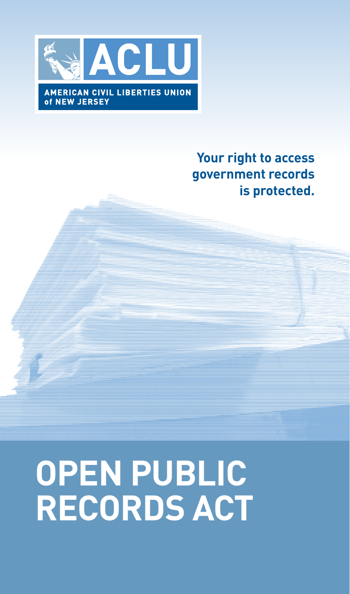

## **Your right to access government records is protected.**

# **open Public records Act**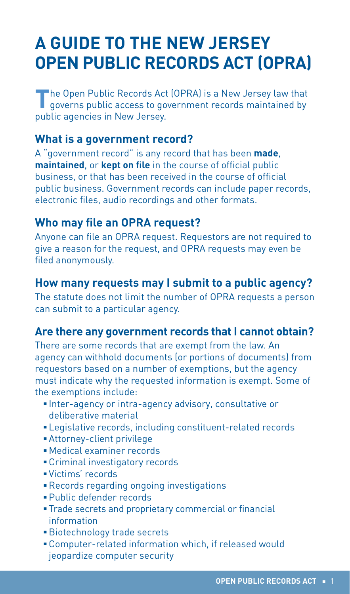## **A Guide to the New Jersey Open Public Records Act (OPRA)**

The Open Public Records Act (OPRA) is a New Jersey law that governs public access to government records maintained by public agencies in New Jersey.

#### **What is a government record?**

A "government record" is any record that has been **made**, **maintained**, or **kept on file** in the course of official public business, or that has been received in the course of official public business. Government records can include paper records, electronic files, audio recordings and other formats.

#### **Who may file an OPRA request?**

Anyone can file an OPRA request. Requestors are not required to give a reason for the request, and OPRA requests may even be filed anonymously.

#### **How many requests may I submit to a public agency?**

The statute does not limit the number of OPRA requests a person can submit to a particular agency.

#### **Are there any government records that I cannot obtain?**

There are some records that are exempt from the law. An agency can withhold documents (or portions of documents) from requestors based on a number of exemptions, but the agency must indicate why the requested information is exempt. Some of the exemptions include:

- <sup>n</sup> Inter-agency or intra-agency advisory, consultative or deliberative material
- **Elegislative records, including constituent-related records**
- **Attorney-client privilege**
- **Nedical examiner records**
- **Example 1** Criminal investigatory records
- <sup>n</sup> Victims' records
- **Records regarding ongoing investigations**
- **Public defender records**
- **Trade secrets and proprietary commercial or financial** information
- **Biotechnology trade secrets**
- **Exampler-related information which, if released would** jeopardize computer security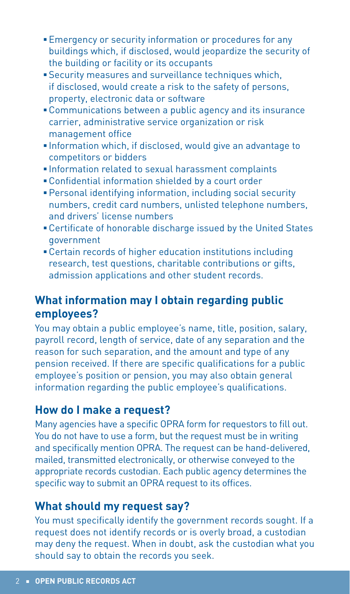- **Emergency or security information or procedures for any** buildings which, if disclosed, would jeopardize the security of the building or facility or its occupants
- **Security measures and surveillance techniques which,** if disclosed, would create a risk to the safety of persons, property, electronic data or software
- **Communications between a public agency and its insurance** carrier, administrative service organization or risk management office
- **Information which, if disclosed, would give an advantage to** competitors or bidders
- **Information related to sexual harassment complaints**
- **EX Confidential information shielded by a court order**
- <sup>n</sup> Personal identifying information, including social security numbers, credit card numbers, unlisted telephone numbers, and drivers' license numbers
- **EXECTER 10 FOR CHARGE ISSUED FOR IT CONTROL** FOR CHILES government
- **EXECTE 1** Certain records of higher education institutions including research, test questions, charitable contributions or gifts, admission applications and other student records.

#### **What information may I obtain regarding public employees?**

You may obtain a public employee's name, title, position, salary, payroll record, length of service, date of any separation and the reason for such separation, and the amount and type of any pension received. If there are specific qualifications for a public employee's position or pension, you may also obtain general information regarding the public employee's qualifications.

#### **How do I make a request?**

Many agencies have a specific OPRA form for requestors to fill out. You do not have to use a form, but the request must be in writing and specifically mention OPRA. The request can be hand-delivered, mailed, transmitted electronically, or otherwise conveyed to the appropriate records custodian. Each public agency determines the specific way to submit an OPRA request to its offices.

#### **What should my request say?**

You must specifically identify the government records sought. If a request does not identify records or is overly broad, a custodian may deny the request. When in doubt, ask the custodian what you should say to obtain the records you seek.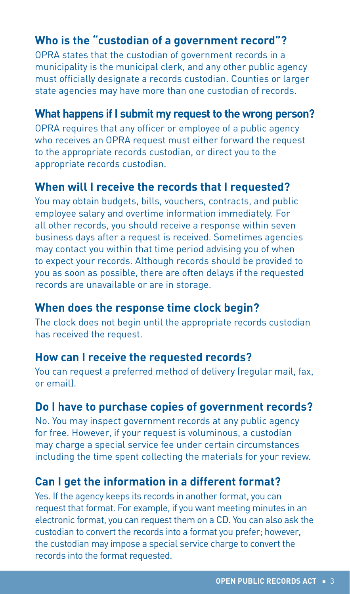## **Who is the "custodian of a government record"?**

OPRA states that the custodian of government records in a municipality is the municipal clerk, and any other public agency must officially designate a records custodian. Counties or larger state agencies may have more than one custodian of records.

#### **What happens if I submit my request to the wrong person?**

OPRA requires that any officer or employee of a public agency who receives an OPRA request must either forward the request to the appropriate records custodian, or direct you to the appropriate records custodian.

#### **When will I receive the records that I requested?**

You may obtain budgets, bills, vouchers, contracts, and public employee salary and overtime information immediately. For all other records, you should receive a response within seven business days after a request is received. Sometimes agencies may contact you within that time period advising you of when to expect your records. Although records should be provided to you as soon as possible, there are often delays if the requested records are unavailable or are in storage.

#### **When does the response time clock begin?**

The clock does not begin until the appropriate records custodian has received the request.

#### **How can I receive the requested records?**

You can request a preferred method of delivery (regular mail, fax, or email).

#### **Do I have to purchase copies of government records?**

No. You may inspect government records at any public agency for free. However, if your request is voluminous, a custodian may charge a special service fee under certain circumstances including the time spent collecting the materials for your review.

#### **Can I get the information in a different format?**

Yes. If the agency keeps its records in another format, you can request that format. For example, if you want meeting minutes in an electronic format, you can request them on a CD. You can also ask the custodian to convert the records into a format you prefer; however, the custodian may impose a special service charge to convert the records into the format requested.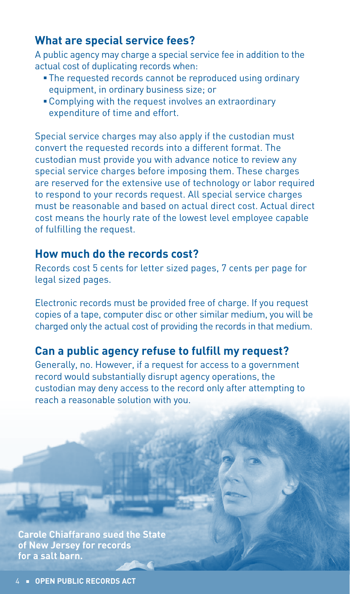#### **What are special service fees?**

A public agency may charge a special service fee in addition to the actual cost of duplicating records when:

- The requested records cannot be reproduced using ordinary equipment, in ordinary business size; or
- **Examplying with the request involves an extraordinary** expenditure of time and effort.

Special service charges may also apply if the custodian must convert the requested records into a different format. The custodian must provide you with advance notice to review any special service charges before imposing them. These charges are reserved for the extensive use of technology or labor required to respond to your records request. All special service charges must be reasonable and based on actual direct cost. Actual direct cost means the hourly rate of the lowest level employee capable of fulfilling the request.

#### **How much do the records cost?**

Records cost 5 cents for letter sized pages, 7 cents per page for legal sized pages.

Electronic records must be provided free of charge. If you request copies of a tape, computer disc or other similar medium, you will be charged only the actual cost of providing the records in that medium.

#### **Can a public agency refuse to fulfill my request?**

Generally, no. However, if a request for access to a government record would substantially disrupt agency operations, the custodian may deny access to the record only after attempting to reach a reasonable solution with you.

**Carole Chiaffarano sued the State of New Jersey for records for a salt barn.**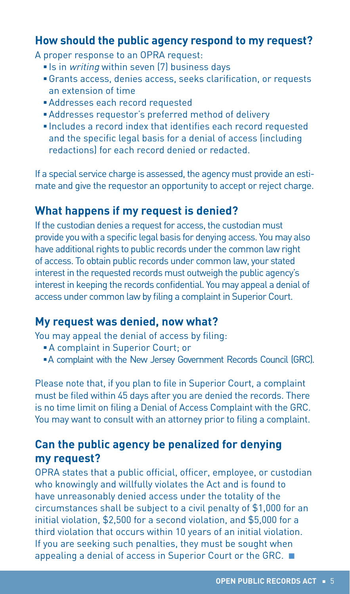#### **How should the public agency respond to my request?**

A proper response to an OPRA request:

- **Example 15 in writing within seven (7) business days**
- <sup>n</sup> Grants access, denies access, seeks clarification, or requests an extension of time
- <sup>n</sup> Addresses each record requested
- <sup>n</sup> Addresses requestor's preferred method of delivery
- **Includes a record index that identifies each record requested** and the specific legal basis for a denial of access (including redactions) for each record denied or redacted.

If a special service charge is assessed, the agency must provide an estimate and give the requestor an opportunity to accept or reject charge.

#### **What happens if my request is denied?**

If the custodian denies a request for access, the custodian must provide you with a specific legal basis for denying access. You may also have additional rights to public records under the common law right of access. To obtain public records under common law, your stated interest in the requested records must outweigh the public agency's interest in keeping the records confidential. You may appeal a denial of access under common law by filing a complaint in Superior Court.

#### **My request was denied, now what?**

You may appeal the denial of access by filing:

- **A complaint in Superior Court; or**
- **A complaint with the New Jersey Government Records Council (GRC).**

Please note that, if you plan to file in Superior Court, a complaint must be filed within 45 days after you are denied the records. There is no time limit on filing a Denial of Access Complaint with the GRC. You may want to consult with an attorney prior to filing a complaint.

### **Can the public agency be penalized for denying my request?**

OPRA states that a public official, officer, employee, or custodian who knowingly and willfully violates the Act and is found to have unreasonably denied access under the totality of the circumstances shall be subject to a civil penalty of \$1,000 for an initial violation, \$2,500 for a second violation, and \$5,000 for a third violation that occurs within 10 years of an initial violation. If you are seeking such penalties, they must be sought when appealing a denial of access in Superior Court or the GRC.  $\blacksquare$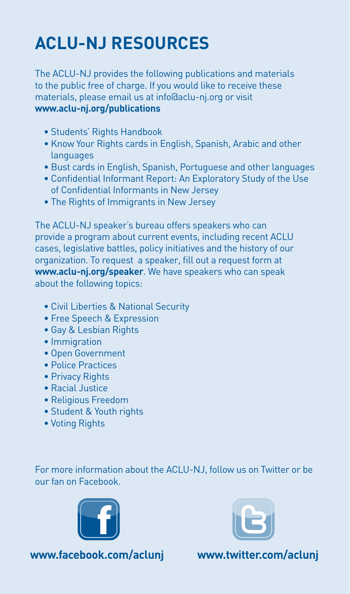# **ACLU-NJ Resources**

The ACLU-NJ provides the following publications and materials to the public free of charge. If you would like to receive these materials, please email us at info@aclu-nj.org or visit **www.aclu-nj.org/publications**

- Students' Rights Handbook
- Know Your Rights cards in English, Spanish, Arabic and other **languages**
- Bust cards in English, Spanish, Portuguese and other languages
- Confidential Informant Report: An Exploratory Study of the Use of Confidential Informants in New Jersey
- The Rights of Immigrants in New Jersey

The ACLU-NJ speaker's bureau offers speakers who can provide a program about current events, including recent ACLU cases, legislative battles, policy initiatives and the history of our organization. To request a speaker, fill out a request form at **www.aclu-nj.org/speaker**. We have speakers who can speak about the following topics:

- Civil Liberties & National Security
- Free Speech & Expression
- Gay & Lesbian Rights
- Immigration
- Open Government
- Police Practices
- Privacy Rights
- Racial Justice
- Religious Freedom
- Student & Youth rights
- Voting Rights

For more information about the ACLU-NJ, follow us on Twitter or be our fan on Facebook.





**www.facebook.com/aclunj**

**www.twitter.com/aclunj**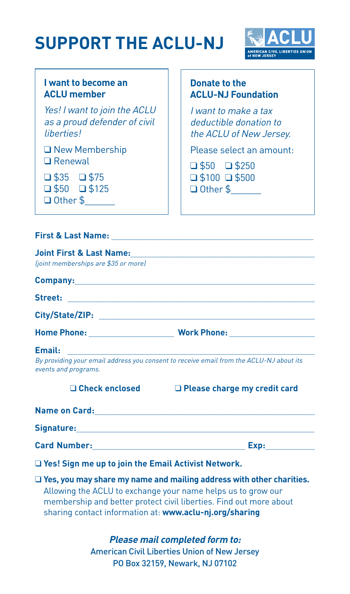# **support the ACLU-NJ**



#### **I want to become an ACLU member**

Yes! I want to join the ACLU as a proud defender of civil liberties!

 $\Box$  New Membership  $\Box$  Renewal

 $\Box$  \$35  $\Box$  \$75  $\Box$  \$50  $\Box$  \$125

Q Other \$

#### **Donate to the ACLU-NJ Foundation**

I want to make a tax deductible donation to the ACLU of New Jersey.

Please select an amount:

 $\Box$  \$50  $\Box$  \$250  $\Box$  \$100  $\Box$  \$500

 $\Box$  Other \$

#### **First & Last Name:** \_\_\_\_\_\_\_\_\_\_\_\_\_\_\_\_\_\_\_\_\_\_\_\_\_\_\_\_\_\_\_\_\_\_\_\_\_\_\_\_\_\_\_\_\_

| <b>Joint First &amp; Last Name:</b>                                                                                                                                                                                                                                          |                                                                                         |
|------------------------------------------------------------------------------------------------------------------------------------------------------------------------------------------------------------------------------------------------------------------------------|-----------------------------------------------------------------------------------------|
| (joint memberships are \$35 or more)                                                                                                                                                                                                                                         |                                                                                         |
|                                                                                                                                                                                                                                                                              |                                                                                         |
|                                                                                                                                                                                                                                                                              |                                                                                         |
|                                                                                                                                                                                                                                                                              |                                                                                         |
|                                                                                                                                                                                                                                                                              |                                                                                         |
| Email:                                                                                                                                                                                                                                                                       |                                                                                         |
| events and programs.                                                                                                                                                                                                                                                         | By providing your email address you consent to receive email from the ACLU-NJ about its |
| $\square$ Check enclosed                                                                                                                                                                                                                                                     | $\Box$ Please charge my credit card                                                     |
|                                                                                                                                                                                                                                                                              |                                                                                         |
|                                                                                                                                                                                                                                                                              |                                                                                         |
|                                                                                                                                                                                                                                                                              |                                                                                         |
|                                                                                                                                                                                                                                                                              | $\Box$ Yes! Sign me up to join the Email Activist Network.                              |
| $\Box$ Yes, you may share my name and mailing address with other charities.<br>Allowing the ACLU to exchange your name helps us to grow our<br>membership and better protect civil liberties. Find out more about<br>sharing contact information at: www.aclu-nj.org/sharing |                                                                                         |
|                                                                                                                                                                                                                                                                              | <b>Please mail completed form to:</b>                                                   |
| <b>American Civil Liberties Union of New Jersey</b>                                                                                                                                                                                                                          |                                                                                         |

PO Box 32159, Newark, NJ 07102